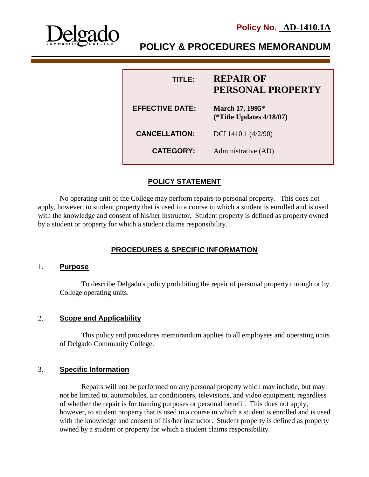

**Policy No. AD-1410.1A**

# **POLICY & PROCEDURES MEMORANDUM**

| <b>TITLE:</b>          | <b>REPAIR OF</b><br>PERSONAL PROPERTY          |
|------------------------|------------------------------------------------|
| <b>EFFECTIVE DATE:</b> | March 17, 1995*<br>(*Title Updates $4/18/07$ ) |
| <b>CANCELLATION:</b>   | DCI 1410.1 (4/2/90)                            |
| <b>CATEGORY:</b>       | Administrative (AD)                            |

## **POLICY STATEMENT**

No operating unit of the College may perform repairs to personal property. This does not apply, however, to student property that is used in a course in which a student is enrolled and is used with the knowledge and consent of his/her instructor. Student property is defined as property owned by a student or property for which a student claims responsibility.

## **PROCEDURES & SPECIFIC INFORMATION**

#### 1. **Purpose**

To describe Delgado's policy prohibiting the repair of personal property through or by College operating units.

#### 2. **Scope and Applicability**

This policy and procedures memorandum applies to all employees and operating units of Delgado Community College.

### 3. **Specific Information**

Repairs will not be performed on any personal property which may include, but may not be limited to, automobiles, air conditioners, televisions, and video equipment, regardless of whether the repair is for training purposes or personal benefit. This does not apply, however, to student property that is used in a course in which a student is enrolled and is used with the knowledge and consent of his/her instructor. Student property is defined as property owned by a student or property for which a student claims responsibility.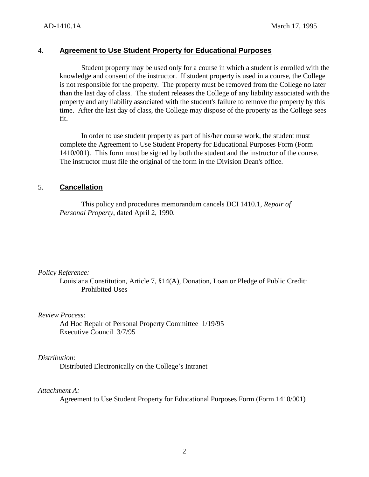#### 4. **Agreement to Use Student Property for Educational Purposes**

Student property may be used only for a course in which a student is enrolled with the knowledge and consent of the instructor. If student property is used in a course, the College is not responsible for the property. The property must be removed from the College no later than the last day of class. The student releases the College of any liability associated with the property and any liability associated with the student's failure to remove the property by this time. After the last day of class, the College may dispose of the property as the College sees fit.

In order to use student property as part of his/her course work, the student must complete the Agreement to Use Student Property for Educational Purposes Form (Form 1410/001). This form must be signed by both the student and the instructor of the course. The instructor must file the original of the form in the Division Dean's office.

#### 5. **Cancellation**

This policy and procedures memorandum cancels DCI 1410.1, *Repair of Personal Property*, dated April 2, 1990.

*Policy Reference:*

Louisiana Constitution, Article 7, §14(A), Donation, Loan or Pledge of Public Credit: Prohibited Uses

*Review Process:*

Ad Hoc Repair of Personal Property Committee 1/19/95 Executive Council 3/7/95

*Distribution:*

Distributed Electronically on the College's Intranet

*Attachment A:*

Agreement to Use Student Property for Educational Purposes Form (Form 1410/001)